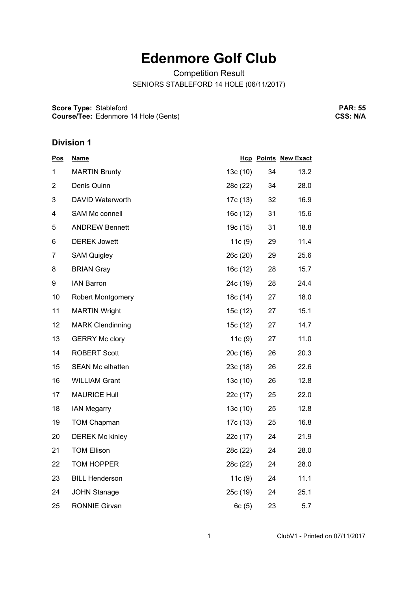## **Edenmore Golf Club**

Competition Result

SENIORS STABLEFORD 14 HOLE (06/11/2017)

**Score Type: Course/Tee:** Stableford Edenmore 14 Hole (Gents)

**PAR: 55 CSS: N/A**

## **Division 1**

| <u>Pos</u>     | <b>Name</b>              |          |    | <b>Hcp Points New Exact</b> |
|----------------|--------------------------|----------|----|-----------------------------|
| 1              | <b>MARTIN Brunty</b>     | 13c (10) | 34 | 13.2                        |
| $\overline{2}$ | Denis Quinn              | 28c (22) | 34 | 28.0                        |
| 3              | DAVID Waterworth         | 17c (13) | 32 | 16.9                        |
| 4              | SAM Mc connell           | 16c(12)  | 31 | 15.6                        |
| 5              | <b>ANDREW Bennett</b>    | 19c (15) | 31 | 18.8                        |
| 6              | <b>DEREK Jowett</b>      | 11c(9)   | 29 | 11.4                        |
| $\overline{7}$ | <b>SAM Quigley</b>       | 26c(20)  | 29 | 25.6                        |
| 8              | <b>BRIAN Gray</b>        | 16c(12)  | 28 | 15.7                        |
| 9              | <b>IAN Barron</b>        | 24c (19) | 28 | 24.4                        |
| 10             | <b>Robert Montgomery</b> | 18c (14) | 27 | 18.0                        |
| 11             | <b>MARTIN Wright</b>     | 15c (12) | 27 | 15.1                        |
| 12             | <b>MARK Clendinning</b>  | 15c (12) | 27 | 14.7                        |
| 13             | <b>GERRY Mc clory</b>    | 11c(9)   | 27 | 11.0                        |
| 14             | <b>ROBERT Scott</b>      | 20c(16)  | 26 | 20.3                        |
| 15             | <b>SEAN Mc elhatten</b>  | 23c(18)  | 26 | 22.6                        |
| 16             | <b>WILLIAM Grant</b>     | 13c(10)  | 26 | 12.8                        |
| 17             | <b>MAURICE Hull</b>      | 22c (17) | 25 | 22.0                        |
| 18             | <b>IAN Megarry</b>       | 13c(10)  | 25 | 12.8                        |
| 19             | <b>TOM Chapman</b>       | 17c (13) | 25 | 16.8                        |
| 20             | <b>DEREK Mc kinley</b>   | 22c (17) | 24 | 21.9                        |
| 21             | <b>TOM Ellison</b>       | 28c (22) | 24 | 28.0                        |
| 22             | TOM HOPPER               | 28c (22) | 24 | 28.0                        |
| 23             | <b>BILL Henderson</b>    | 11c(9)   | 24 | 11.1                        |
| 24             | <b>JOHN Stanage</b>      | 25c(19)  | 24 | 25.1                        |
| 25             | <b>RONNIE Girvan</b>     | 6c(5)    | 23 | 5.7                         |